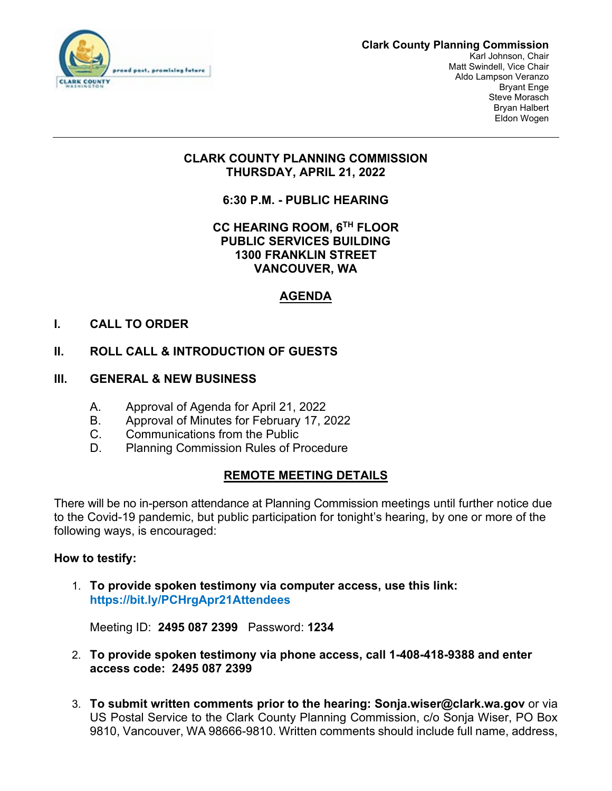

### **Clark County Planning Commission**

Karl Johnson, Chair Matt Swindell, Vice Chair Aldo Lampson Veranzo Bryant Enge Steve Morasch Bryan Halbert Eldon Wogen

# **CLARK COUNTY PLANNING COMMISSION THURSDAY, APRIL 21, 2022**

**6:30 P.M. - PUBLIC HEARING** 

# **CC HEARING ROOM, 6TH FLOOR PUBLIC SERVICES BUILDING 1300 FRANKLIN STREET VANCOUVER, WA**

# **AGENDA**

# **I. CALL TO ORDER**

# **II. ROLL CALL & INTRODUCTION OF GUESTS**

- **III. GENERAL & NEW BUSINESS**
	- A. Approval of Agenda for April 21, 2022
	- B. Approval of Minutes for February 17, 2022
	- C. Communications from the Public
	- D. Planning Commission Rules of Procedure

### **REMOTE MEETING DETAILS**

There will be no in-person attendance at Planning Commission meetings until further notice due to the Covid-19 pandemic, but public participation for tonight's hearing, by one or more of the following ways, is encouraged:

### **How to testify:**

1. **To provide spoken testimony via computer access, use this link: <https://bit.ly/PCHrgApr21Attendees>**

Meeting ID: **2495 087 2399** Password: **1234**

- 2. **To provide spoken testimony via phone access, call 1-408-418-9388 and enter access code: 2495 087 2399**
- 3. **To submit written comments prior to the hearing: Sonja.wiser@clark.wa.gov** or via US Postal Service to the Clark County Planning Commission, c/o Sonja Wiser, PO Box 9810, Vancouver, WA 98666-9810. Written comments should include full name, address,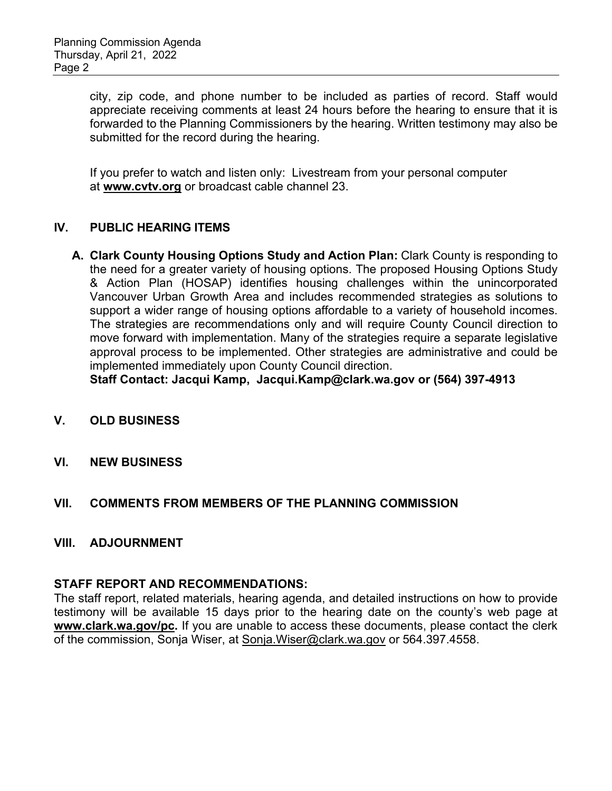city, zip code, and phone number to be included as parties of record. Staff would appreciate receiving comments at least 24 hours before the hearing to ensure that it is forwarded to the Planning Commissioners by the hearing. Written testimony may also be submitted for the record during the hearing.

If you prefer to watch and listen only:Livestream from your personal computer at **[www.cvtv.org](http://www.cvtv.org/)** or broadcast cable channel 23.

# **IV. PUBLIC HEARING ITEMS**

**A. Clark County Housing Options Study and Action Plan:** Clark County is responding to the need for a greater variety of housing options. The proposed Housing Options Study & Action Plan (HOSAP) identifies housing challenges within the unincorporated Vancouver Urban Growth Area and includes recommended strategies as solutions to support a wider range of housing options affordable to a variety of household incomes. The strategies are recommendations only and will require County Council direction to move forward with implementation. Many of the strategies require a separate legislative approval process to be implemented. Other strategies are administrative and could be implemented immediately upon County Council direction.

**Staff Contact: Jacqui Kamp, [Jacqui.Kamp@clark.wa.gov](mailto:Jacqui.Kamp@clark.wa.gov) or (564) 397-4913**

- **V. OLD BUSINESS**
- **VI. NEW BUSINESS**

### **VII. COMMENTS FROM MEMBERS OF THE PLANNING COMMISSION**

#### **VIII. ADJOURNMENT**

#### **STAFF REPORT AND RECOMMENDATIONS:**

The staff report, related materials, hearing agenda, and detailed instructions on how to provide testimony will be available 15 days prior to the hearing date on the county's web page at **[www.clark.wa.gov/pc.](https://gcc02.safelinks.protection.outlook.com/?url=http%3A%2F%2Fwww.clark.wa.gov%2Fpc&data=02%7C01%7CSharon.Lumbantobing%40clark.wa.gov%7Cbedd6cb53948469812e408d821d55f47%7C389c6904b0734843a92d4a72a350cf02%7C1%7C0%7C637296547591153796&sdata=v18D1SjhpqHDY8hmfIxozwymQU6mCO%2BFA00lXkoxZOk%3D&reserved=0)** If you are unable to access these documents, please contact the clerk of the commission, Sonja Wiser, at [Sonja.Wiser@clark.wa.gov](mailto:Sonja.Wiser@clark.wa.gove) or 564.397.4558.